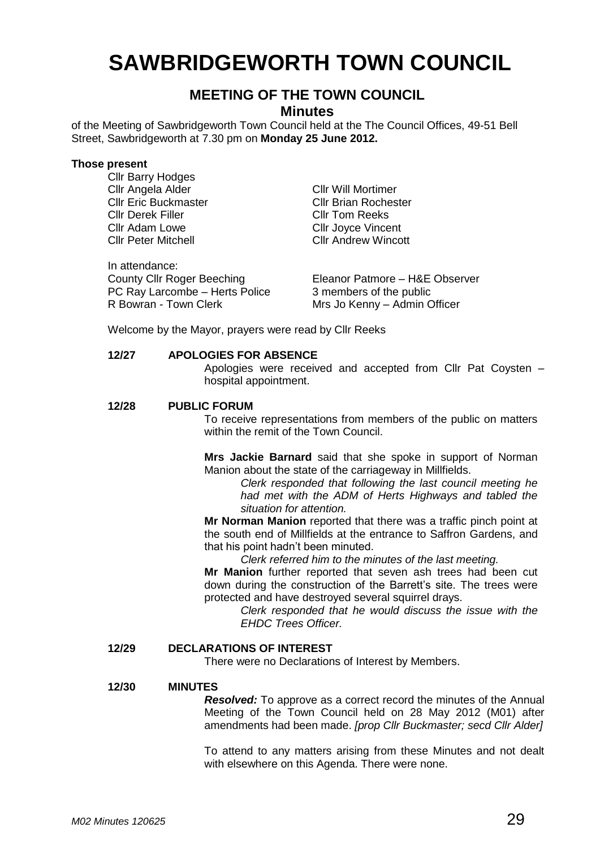# **SAWBRIDGEWORTH TOWN COUNCIL**

## **MEETING OF THE TOWN COUNCIL**

## **Minutes**

of the Meeting of Sawbridgeworth Town Council held at the The Council Offices, 49-51 Bell Street, Sawbridgeworth at 7.30 pm on **Monday 25 June 2012.**

#### **Those present**

Cllr Barry Hodges Cllr Angela Alder Cllr Will Mortimer Cllr Derek Filler **Cllr Tom Reeks**<br>Cllr Adam Lowe **Cllr Cllr Love Cllr Cllr Adam** Lowe **Cllr Adam Lowe**<br>Cllr Peter Mitchell **Cllr Andrew Winco**<br>Cllr Andrew Winco

Cllr Eric Buckmaster Cllr Brian Rochester **Cllr Andrew Wincott** 

In attendance: PC Ray Larcombe – Herts Police 3 members of the public<br>R Bowran - Town Clerk **1998** Mrs Jo Kenny – Admin C

County Cllr Roger Beeching Eleanor Patmore – H&E Observer Mrs Jo Kenny – Admin Officer

Welcome by the Mayor, prayers were read by Cllr Reeks

## **12/27 APOLOGIES FOR ABSENCE**

Apologies were received and accepted from Cllr Pat Coysten – hospital appointment.

#### **12/28 PUBLIC FORUM**

To receive representations from members of the public on matters within the remit of the Town Council.

**Mrs Jackie Barnard** said that she spoke in support of Norman Manion about the state of the carriageway in Millfields.

*Clerk responded that following the last council meeting he had met with the ADM of Herts Highways and tabled the situation for attention.*

**Mr Norman Manion** reported that there was a traffic pinch point at the south end of Millfields at the entrance to Saffron Gardens, and that his point hadn't been minuted.

*Clerk referred him to the minutes of the last meeting.*

**Mr Manion** further reported that seven ash trees had been cut down during the construction of the Barrett's site. The trees were protected and have destroyed several squirrel drays.

*Clerk responded that he would discuss the issue with the EHDC Trees Officer.*

## **12/29 DECLARATIONS OF INTEREST**

There were no Declarations of Interest by Members.

#### **12/30 MINUTES**

*Resolved:* To approve as a correct record the minutes of the Annual Meeting of the Town Council held on 28 May 2012 (M01) after amendments had been made. *[prop Cllr Buckmaster; secd Cllr Alder]*

To attend to any matters arising from these Minutes and not dealt with elsewhere on this Agenda. There were none.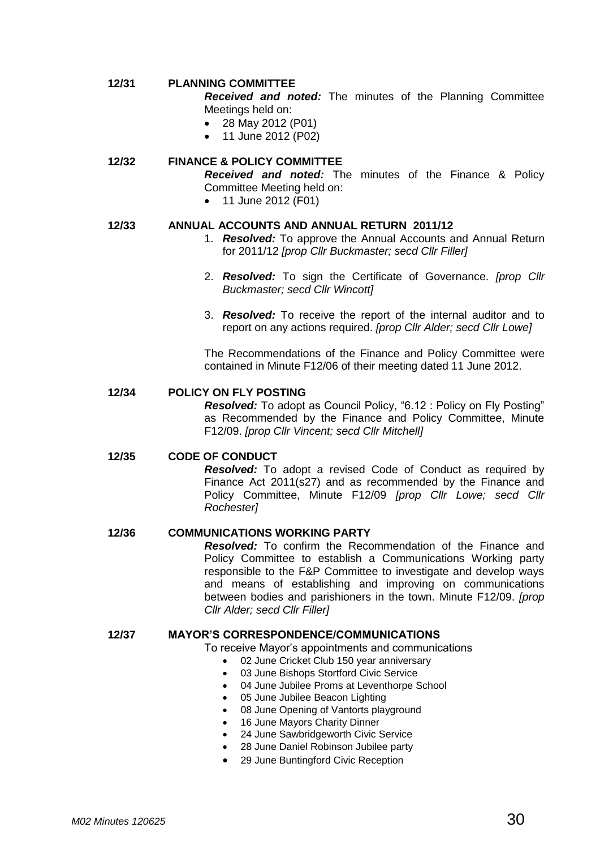## **12/31 PLANNING COMMITTEE**

*Received and noted:* The minutes of the Planning Committee Meetings held on:

- 28 May 2012 (P01)
- 11 June 2012 (P02)

## **12/32 FINANCE & POLICY COMMITTEE**

*Received and noted:* The minutes of the Finance & Policy Committee Meeting held on:

• 11 June 2012 (F01)

## **12/33 ANNUAL ACCOUNTS AND ANNUAL RETURN 2011/12**

- 1. *Resolved:* To approve the Annual Accounts and Annual Return for 2011/12 *[prop Cllr Buckmaster; secd Cllr Filler]*
- 2. *Resolved:* To sign the Certificate of Governance. *[prop Cllr Buckmaster; secd Cllr Wincott]*
- 3. *Resolved:* To receive the report of the internal auditor and to report on any actions required. *[prop Cllr Alder; secd Cllr Lowe]*

The Recommendations of the Finance and Policy Committee were contained in Minute F12/06 of their meeting dated 11 June 2012.

## **12/34 POLICY ON FLY POSTING**

*Resolved:* To adopt as Council Policy, "6.12 : Policy on Fly Posting" as Recommended by the Finance and Policy Committee, Minute F12/09. *[prop Cllr Vincent; secd Cllr Mitchell]*

#### **12/35 CODE OF CONDUCT**

*Resolved:* To adopt a revised Code of Conduct as required by Finance Act 2011(s27) and as recommended by the Finance and Policy Committee, Minute F12/09 *[prop Cllr Lowe; secd Cllr Rochester]*

#### **12/36 COMMUNICATIONS WORKING PARTY**

*Resolved:* To confirm the Recommendation of the Finance and Policy Committee to establish a Communications Working party responsible to the F&P Committee to investigate and develop ways and means of establishing and improving on communications between bodies and parishioners in the town. Minute F12/09. *[prop Cllr Alder; secd Cllr Filler]*

## **12/37 MAYOR'S CORRESPONDENCE/COMMUNICATIONS**

To receive Mayor's appointments and communications

- 02 June Cricket Club 150 year anniversary
- 03 June Bishops Stortford Civic Service
- 04 June Jubilee Proms at Leventhorpe School
- 05 June Jubilee Beacon Lighting
- 08 June Opening of Vantorts playground
- 16 June Mayors Charity Dinner
- 24 June Sawbridgeworth Civic Service
- 28 June Daniel Robinson Jubilee party
- 29 June Buntingford Civic Reception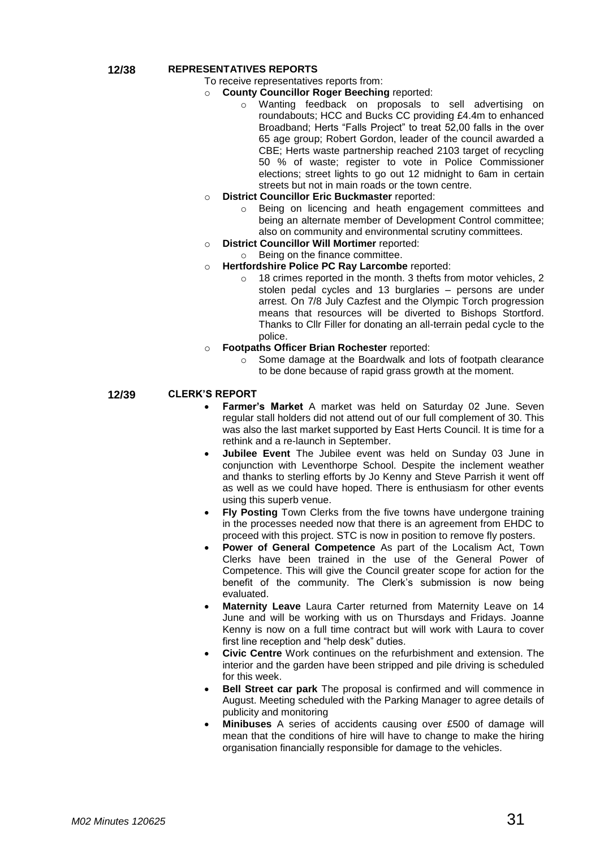#### **12/38 REPRESENTATIVES REPORTS**

- To receive representatives reports from:
- **County Councillor Roger Beeching reported:** 
	- o Wanting feedback on proposals to sell advertising on roundabouts; HCC and Bucks CC providing £4.4m to enhanced Broadband; Herts "Falls Project" to treat 52,00 falls in the over 65 age group; Robert Gordon, leader of the council awarded a CBE; Herts waste partnership reached 2103 target of recycling 50 % of waste; register to vote in Police Commissioner elections; street lights to go out 12 midnight to 6am in certain streets but not in main roads or the town centre.
- o **District Councillor Eric Buckmaster** reported:
	- o Being on licencing and heath engagement committees and being an alternate member of Development Control committee; also on community and environmental scrutiny committees.
- o **District Councillor Will Mortimer** reported:
	- o Being on the finance committee.
- o **Hertfordshire Police PC Ray Larcombe** reported:
	- o 18 crimes reported in the month. 3 thefts from motor vehicles, 2 stolen pedal cycles and 13 burglaries – persons are under arrest. On 7/8 July Cazfest and the Olympic Torch progression means that resources will be diverted to Bishops Stortford. Thanks to Cllr Filler for donating an all-terrain pedal cycle to the police.
- **Footpaths Officer Brian Rochester** reported:
	- o Some damage at the Boardwalk and lots of footpath clearance to be done because of rapid grass growth at the moment.

**12/39 CLERK'S REPORT**

- **Farmer's Market** A market was held on Saturday 02 June. Seven regular stall holders did not attend out of our full complement of 30. This was also the last market supported by East Herts Council. It is time for a rethink and a re-launch in September.
- **Jubilee Event** The Jubilee event was held on Sunday 03 June in conjunction with Leventhorpe School. Despite the inclement weather and thanks to sterling efforts by Jo Kenny and Steve Parrish it went off as well as we could have hoped. There is enthusiasm for other events using this superb venue.
- **Fly Posting** Town Clerks from the five towns have undergone training in the processes needed now that there is an agreement from EHDC to proceed with this project. STC is now in position to remove fly posters.
- **Power of General Competence** As part of the Localism Act, Town Clerks have been trained in the use of the General Power of Competence. This will give the Council greater scope for action for the benefit of the community. The Clerk's submission is now being evaluated.
- **Maternity Leave** Laura Carter returned from Maternity Leave on 14 June and will be working with us on Thursdays and Fridays. Joanne Kenny is now on a full time contract but will work with Laura to cover first line reception and "help desk" duties.
- **Civic Centre** Work continues on the refurbishment and extension. The interior and the garden have been stripped and pile driving is scheduled for this week.
- **Bell Street car park** The proposal is confirmed and will commence in August. Meeting scheduled with the Parking Manager to agree details of publicity and monitoring
- **Minibuses** A series of accidents causing over £500 of damage will mean that the conditions of hire will have to change to make the hiring organisation financially responsible for damage to the vehicles.